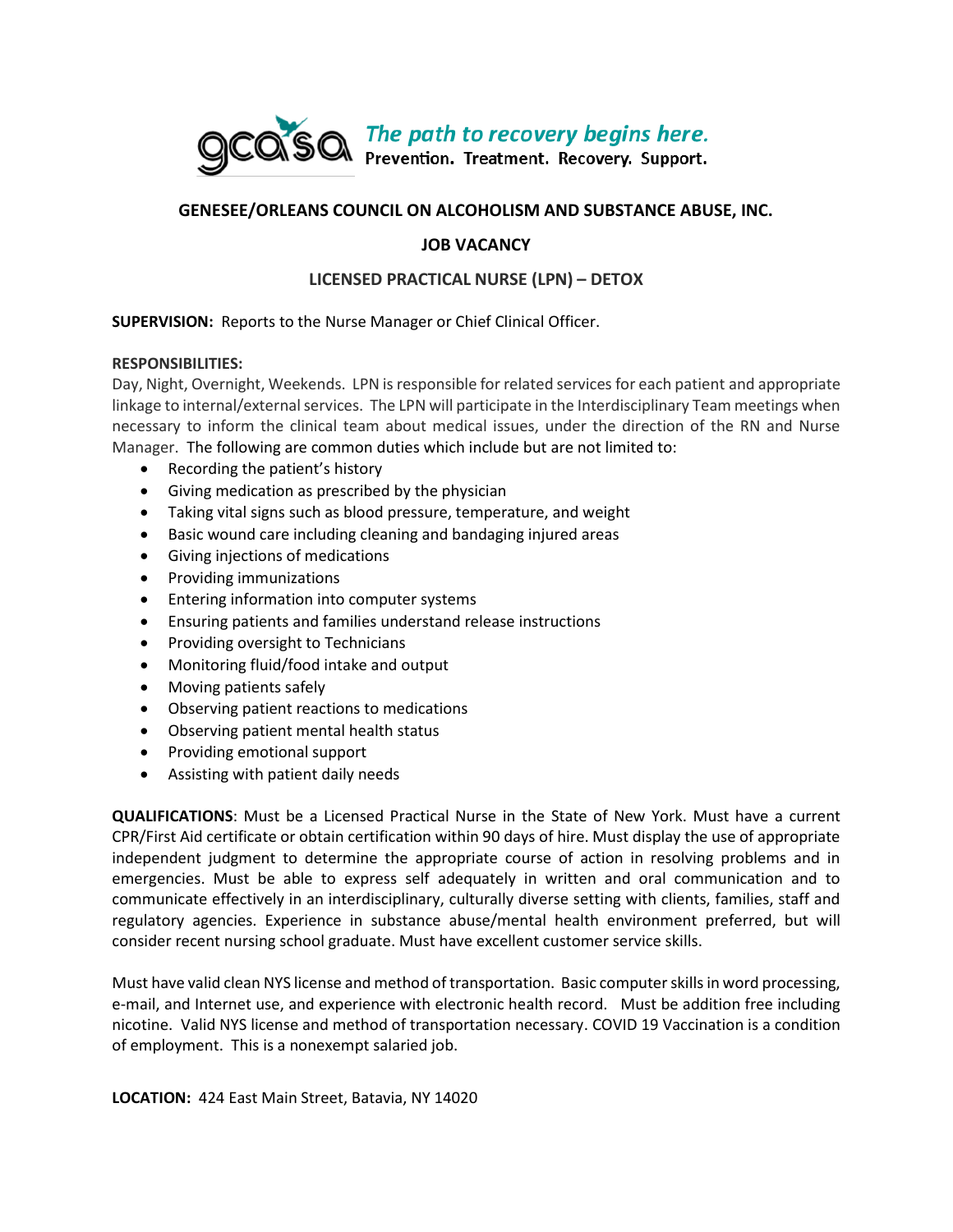

# **GENESEE/ORLEANS COUNCIL ON ALCOHOLISM AND SUBSTANCE ABUSE, INC.**

# **JOB VACANCY**

# **LICENSED PRACTICAL NURSE (LPN) – DETOX**

### **SUPERVISION:** Reports to the Nurse Manager or Chief Clinical Officer.

#### **RESPONSIBILITIES:**

Day, Night, Overnight, Weekends. LPN is responsible for related services for each patient and appropriate linkage to internal/external services. The LPN will participate in the Interdisciplinary Team meetings when necessary to inform the clinical team about medical issues, under the direction of the RN and Nurse Manager. The following are common duties which include but are not limited to:

- Recording the patient's history
- Giving medication as prescribed by the physician
- Taking vital signs such as blood pressure, temperature, and weight
- Basic wound care including cleaning and bandaging injured areas
- Giving injections of medications
- Providing immunizations
- Entering information into computer systems
- Ensuring patients and families understand release instructions
- Providing oversight to Technicians
- Monitoring fluid/food intake and output
- Moving patients safely
- Observing patient reactions to medications
- Observing patient mental health status
- Providing emotional support
- Assisting with patient daily needs

**QUALIFICATIONS**: Must be a Licensed Practical Nurse in the State of New York. Must have a current CPR/First Aid certificate or obtain certification within 90 days of hire. Must display the use of appropriate independent judgment to determine the appropriate course of action in resolving problems and in emergencies. Must be able to express self adequately in written and oral communication and to communicate effectively in an interdisciplinary, culturally diverse setting with clients, families, staff and regulatory agencies. Experience in substance abuse/mental health environment preferred, but will consider recent nursing school graduate. Must have excellent customer service skills.

Must have valid clean NYS license and method of transportation. Basic computer skills in word processing, e-mail, and Internet use, and experience with electronic health record. Must be addition free including nicotine. Valid NYS license and method of transportation necessary. COVID 19 Vaccination is a condition of employment. This is a nonexempt salaried job.

**LOCATION:** 424 East Main Street, Batavia, NY 14020